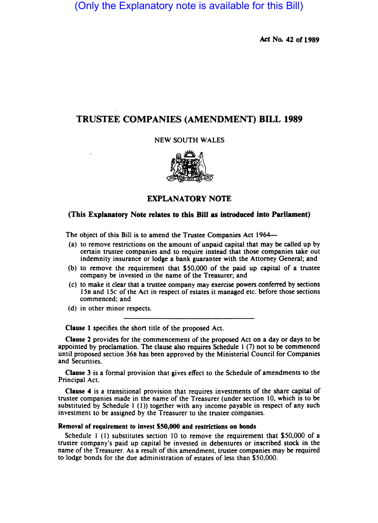(Only the Explanatory note is available for this Bill)

Act No. 42 of 1989

# TRUSTEE COMPANIES (AMENDMENT) BILL 1989

NEW SOUTH WALES



## EXPLANATORY NOTE

### (This Explanatory Note relates to this Bill as introduced into Parliament)

The object of this Bill is to amend the Trustee Companies Act 1964—

- (a) to remove restrictions on the amount of unpaid capital that may be called up by cenain trustee companies and to require instead that those companies take out indemnity insurance or lodge a bank guarantee with the Attorney General; and
- (b) to remove the requirement that \$50,000 of the paid up capital of a trustee company be invested in the name of the Treasurer; and
- (c) to make it clear that a trustee company may exercise powers conferred by sections 158 and 15e of the Act in respect of estates it managed etc. before those sections commenced; and
- (d) in other minor respects.

Clause 1 specifies the short title of the proposed Act.

Clause 2 provides for the commencement of the proposed Act on a day or days to be appointed by proclamation. The clause also requires Schedule I (7) not to be commenced until proposed section 368 has been approved by the Ministerial Council for Companies and Securities.

Clause 3 is a formal provision that gives effect to the Schedule of amendments to the Principal Act.

Clause 4 is a transitional provision that requires investments of the share capital of trustee companies made in the name of the Treasurer (under section 10, which is to be substituted by Schedule I (I)) together with any income payable in respect of any such investment to be assigned by the Treasurer to the trustee companies.

### Removal of requirement to invest \$50,000 and restrictions on bonds

Schedule I (I) substitutes section 10 to remove the requirement that \$50,000 of a trustee company's paid up capital be invested in debentures or inscribed stock in the name of the Treasurer. As a result of this amendment, trustee companies may be required to lodge bonds for the due administration of estates of less than \$50.000.